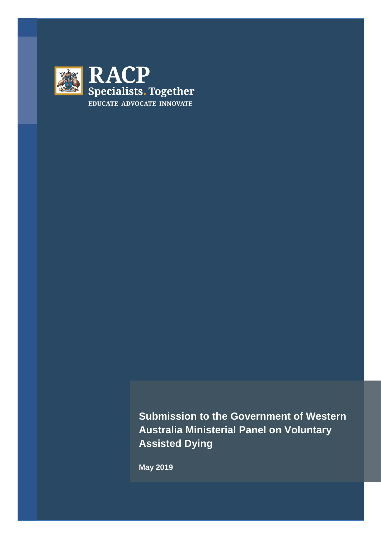

**Submission to the Government of Western Australia Ministerial Panel on Voluntary Assisted Dying** 

**May 2019**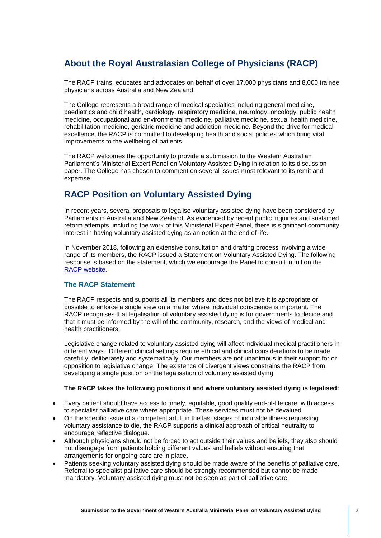# **About the Royal Australasian College of Physicians (RACP)**

The RACP trains, educates and advocates on behalf of over 17,000 physicians and 8,000 trainee physicians across Australia and New Zealand.

The College represents a broad range of medical specialties including general medicine, paediatrics and child health, cardiology, respiratory medicine, neurology, oncology, public health medicine, occupational and environmental medicine, palliative medicine, sexual health medicine, rehabilitation medicine, geriatric medicine and addiction medicine. Beyond the drive for medical excellence, the RACP is committed to developing health and social policies which bring vital improvements to the wellbeing of patients.

The RACP welcomes the opportunity to provide a submission to the Western Australian Parliament's Ministerial Expert Panel on Voluntary Assisted Dying in relation to its discussion paper. The College has chosen to comment on several issues most relevant to its remit and expertise.

## **RACP Position on Voluntary Assisted Dying**

In recent years, several proposals to legalise voluntary assisted dying have been considered by Parliaments in Australia and New Zealand. As evidenced by recent public inquiries and sustained reform attempts, including the work of this Ministerial Expert Panel, there is significant community interest in having voluntary assisted dying as an option at the end of life.

In November 2018, following an extensive consultation and drafting process involving a wide range of its members, the RACP issued a Statement on Voluntary Assisted Dying. The following response is based on the statement, which we encourage the Panel to consult in full on the [RACP website.](https://www.racp.edu.au/docs/default-source/advocacy-library/racp-voluntary-assisted-dying-statement-november-2018.pdf?sfvrsn=761d121a_4)

## **The RACP Statement**

The RACP respects and supports all its members and does not believe it is appropriate or possible to enforce a single view on a matter where individual conscience is important. The RACP recognises that legalisation of voluntary assisted dying is for governments to decide and that it must be informed by the will of the community, research, and the views of medical and health practitioners.

Legislative change related to voluntary assisted dying will affect individual medical practitioners in different ways. Different clinical settings require ethical and clinical considerations to be made carefully, deliberately and systematically. Our members are not unanimous in their support for or opposition to legislative change. The existence of divergent views constrains the RACP from developing a single position on the legalisation of voluntary assisted dying.

#### **The RACP takes the following positions if and where voluntary assisted dying is legalised:**

- Every patient should have access to timely, equitable, good quality end-of-life care, with access to specialist palliative care where appropriate. These services must not be devalued.
- On the specific issue of a competent adult in the last stages of incurable illness requesting voluntary assistance to die, the RACP supports a clinical approach of critical neutrality to encourage reflective dialogue.
- Although physicians should not be forced to act outside their values and beliefs, they also should not disengage from patients holding different values and beliefs without ensuring that arrangements for ongoing care are in place.
- Patients seeking voluntary assisted dying should be made aware of the benefits of palliative care. Referral to specialist palliative care should be strongly recommended but cannot be made mandatory. Voluntary assisted dying must not be seen as part of palliative care.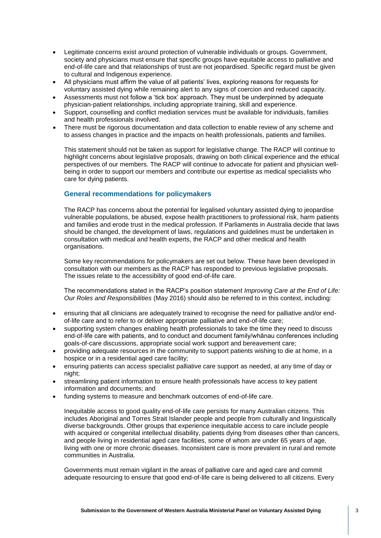- Legitimate concerns exist around protection of vulnerable individuals or groups. Government, society and physicians must ensure that specific groups have equitable access to palliative and end-of-life care and that relationships of trust are not jeopardised. Specific regard must be given to cultural and Indigenous experience.
- All physicians must affirm the value of all patients' lives, exploring reasons for requests for voluntary assisted dying while remaining alert to any signs of coercion and reduced capacity.
- Assessments must not follow a 'tick box' approach. They must be underpinned by adequate physician-patient relationships, including appropriate training, skill and experience.
- Support, counselling and conflict mediation services must be available for individuals, families and health professionals involved.
- There must be rigorous documentation and data collection to enable review of any scheme and to assess changes in practice and the impacts on health professionals, patients and families.

This statement should not be taken as support for legislative change. The RACP will continue to highlight concerns about legislative proposals, drawing on both clinical experience and the ethical perspectives of our members. The RACP will continue to advocate for patient and physician wellbeing in order to support our members and contribute our expertise as medical specialists who care for dying patients.

## **General recommendations for policymakers**

The RACP has concerns about the potential for legalised voluntary assisted dying to jeopardise vulnerable populations, be abused, expose health practitioners to professional risk, harm patients and families and erode trust in the medical profession. If Parliaments in Australia decide that laws should be changed, the development of laws, regulations and guidelines must be undertaken in consultation with medical and health experts, the RACP and other medical and health organisations.

Some key recommendations for policymakers are set out below. These have been developed in consultation with our members as the RACP has responded to previous legislative proposals. The issues relate to the accessibility of good end-of-life care.

The recommendations stated in the RACP's position statement *Improving Care at the End of Life: Our Roles and Responsibilities* (May 2016) should also be referred to in this context, including:

- ensuring that all clinicians are adequately trained to recognise the need for palliative and/or endof-life care and to refer to or deliver appropriate palliative and end-of-life care;
- supporting system changes enabling health professionals to take the time they need to discuss end-of-life care with patients, and to conduct and document family/whānau conferences including goals-of-care discussions, appropriate social work support and bereavement care;
- providing adequate resources in the community to support patients wishing to die at home, in a hospice or in a residential aged care facility;
- ensuring patients can access specialist palliative care support as needed, at any time of day or night;
- streamlining patient information to ensure health professionals have access to key patient information and documents; and
- funding systems to measure and benchmark outcomes of end-of-life care.

Inequitable access to good quality end-of-life care persists for many Australian citizens. This includes Aboriginal and Torres Strait Islander people and people from culturally and linguistically diverse backgrounds. Other groups that experience inequitable access to care include people with acquired or congenital intellectual disability, patients dying from diseases other than cancers, and people living in residential aged care facilities, some of whom are under 65 years of age, living with one or more chronic diseases. Inconsistent care is more prevalent in rural and remote communities in Australia.

Governments must remain vigilant in the areas of palliative care and aged care and commit adequate resourcing to ensure that good end-of-life care is being delivered to all citizens. Every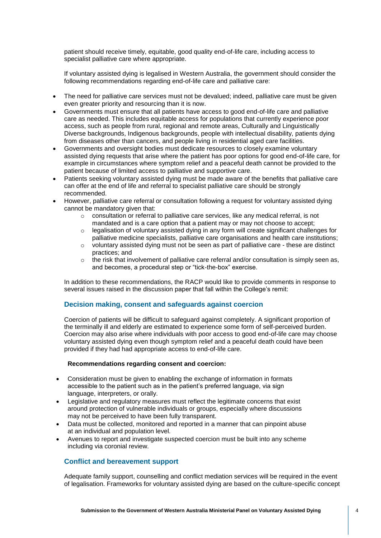patient should receive timely, equitable, good quality end-of-life care, including access to specialist palliative care where appropriate.

If voluntary assisted dying is legalised in Western Australia, the government should consider the following recommendations regarding end-of-life care and palliative care:

- The need for palliative care services must not be devalued; indeed, palliative care must be given even greater priority and resourcing than it is now.
- Governments must ensure that all patients have access to good end-of-life care and palliative care as needed. This includes equitable access for populations that currently experience poor access, such as people from rural, regional and remote areas, Culturally and Linguistically Diverse backgrounds, Indigenous backgrounds, people with intellectual disability, patients dying from diseases other than cancers, and people living in residential aged care facilities.
- Governments and oversight bodies must dedicate resources to closely examine voluntary assisted dying requests that arise where the patient has poor options for good end-of-life care, for example in circumstances where symptom relief and a peaceful death cannot be provided to the patient because of limited access to palliative and supportive care.
- Patients seeking voluntary assisted dying must be made aware of the benefits that palliative care can offer at the end of life and referral to specialist palliative care should be strongly recommended.
- However, palliative care referral or consultation following a request for voluntary assisted dying cannot be mandatory given that:
	- o consultation or referral to palliative care services, like any medical referral, is not mandated and is a care option that a patient may or may not choose to accept;
	- $\circ$  legalisation of voluntary assisted dying in any form will create significant challenges for palliative medicine specialists, palliative care organisations and health care institutions;
	- $\circ$  voluntary assisted dying must not be seen as part of palliative care these are distinct practices; and
	- $\circ$  the risk that involvement of palliative care referral and/or consultation is simply seen as, and becomes, a procedural step or "tick-the-box" exercise.

In addition to these recommendations, the RACP would like to provide comments in response to several issues raised in the discussion paper that fall within the College's remit:

## **Decision making, consent and safeguards against coercion**

Coercion of patients will be difficult to safeguard against completely. A significant proportion of the terminally ill and elderly are estimated to experience some form of self-perceived burden. Coercion may also arise where individuals with poor access to good end-of-life care may choose voluntary assisted dying even though symptom relief and a peaceful death could have been provided if they had had appropriate access to end-of-life care.

#### **Recommendations regarding consent and coercion:**

- Consideration must be given to enabling the exchange of information in formats accessible to the patient such as in the patient's preferred language, via sign language, interpreters, or orally.
- Legislative and regulatory measures must reflect the legitimate concerns that exist around protection of vulnerable individuals or groups, especially where discussions may not be perceived to have been fully transparent.
- Data must be collected, monitored and reported in a manner that can pinpoint abuse at an individual and population level.
- Avenues to report and investigate suspected coercion must be built into any scheme including via coronial review.

## **Conflict and bereavement support**

Adequate family support, counselling and conflict mediation services will be required in the event of legalisation. Frameworks for voluntary assisted dying are based on the culture-specific concept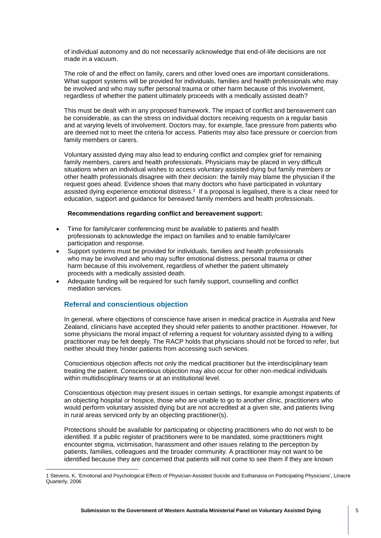of individual autonomy and do not necessarily acknowledge that end-of-life decisions are not made in a vacuum.

The role of and the effect on family, carers and other loved ones are important considerations. What support systems will be provided for individuals, families and health professionals who may be involved and who may suffer personal trauma or other harm because of this involvement, regardless of whether the patient ultimately proceeds with a medically assisted death?

This must be dealt with in any proposed framework. The impact of conflict and bereavement can be considerable, as can the stress on individual doctors receiving requests on a regular basis and at varying levels of involvement. Doctors may, for example, face pressure from patients who are deemed not to meet the criteria for access. Patients may also face pressure or coercion from family members or carers.

Voluntary assisted dying may also lead to enduring conflict and complex grief for remaining family members, carers and health professionals. Physicians may be placed in very difficult situations when an individual wishes to access voluntary assisted dying but family members or other health professionals disagree with their decision: the family may blame the physician if the request goes ahead. Evidence shows that many doctors who have participated in voluntary assisted dying experience emotional distress.<sup>1</sup> If a proposal is legalised, there is a clear need for education, support and guidance for bereaved family members and health professionals.

#### **Recommendations regarding conflict and bereavement support:**

- Time for family/carer conferencing must be available to patients and health professionals to acknowledge the impact on families and to enable family/carer participation and response.
- Support systems must be provided for individuals, families and health professionals who may be involved and who may suffer emotional distress, personal trauma or other harm because of this involvement, regardless of whether the patient ultimately proceeds with a medically assisted death.
- Adequate funding will be required for such family support, counselling and conflict mediation services.

## **Referral and conscientious objection**

<u>.</u>

In general, where objections of conscience have arisen in medical practice in Australia and New Zealand, clinicians have accepted they should refer patients to another practitioner. However, for some physicians the moral impact of referring a request for voluntary assisted dying to a willing practitioner may be felt deeply. The RACP holds that physicians should not be forced to refer, but neither should they hinder patients from accessing such services.

Conscientious objection affects not only the medical practitioner but the interdisciplinary team treating the patient. Conscientious objection may also occur for other non-medical individuals within multidisciplinary teams or at an institutional level.

Conscientious objection may present issues in certain settings, for example amongst inpatients of an objecting hospital or hospice, those who are unable to go to another clinic, practitioners who would perform voluntary assisted dying but are not accredited at a given site, and patients living in rural areas serviced only by an objecting practitioner(s).

Protections should be available for participating or objecting practitioners who do not wish to be identified. If a public register of practitioners were to be mandated, some practitioners might encounter stigma, victimisation, harassment and other issues relating to the perception by patients, families, colleagues and the broader community. A practitioner may not want to be identified because they are concerned that patients will not come to see them if they are known

<sup>1</sup> Stevens, K, 'Emotional and Psychological Effects of Physician-Assisted Suicide and Euthanasia on Participating Physicians', Linacre Quarterly, 2006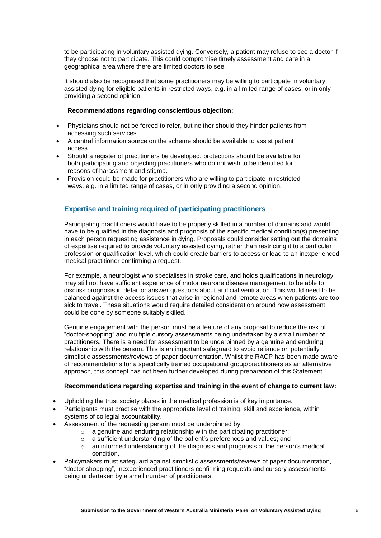to be participating in voluntary assisted dying. Conversely, a patient may refuse to see a doctor if they choose not to participate. This could compromise timely assessment and care in a geographical area where there are limited doctors to see.

It should also be recognised that some practitioners may be willing to participate in voluntary assisted dying for eligible patients in restricted ways, e.g. in a limited range of cases, or in only providing a second opinion.

#### **Recommendations regarding conscientious objection:**

- Physicians should not be forced to refer, but neither should they hinder patients from accessing such services.
- A central information source on the scheme should be available to assist patient access.
- Should a register of practitioners be developed, protections should be available for both participating and objecting practitioners who do not wish to be identified for reasons of harassment and stigma.
- Provision could be made for practitioners who are willing to participate in restricted ways, e.g. in a limited range of cases, or in only providing a second opinion.

## **Expertise and training required of participating practitioners**

Participating practitioners would have to be properly skilled in a number of domains and would have to be qualified in the diagnosis and prognosis of the specific medical condition(s) presenting in each person requesting assistance in dying. Proposals could consider setting out the domains of expertise required to provide voluntary assisted dying, rather than restricting it to a particular profession or qualification level, which could create barriers to access or lead to an inexperienced medical practitioner confirming a request.

For example, a neurologist who specialises in stroke care, and holds qualifications in neurology may still not have sufficient experience of motor neurone disease management to be able to discuss prognosis in detail or answer questions about artificial ventilation. This would need to be balanced against the access issues that arise in regional and remote areas when patients are too sick to travel. These situations would require detailed consideration around how assessment could be done by someone suitably skilled.

Genuine engagement with the person must be a feature of any proposal to reduce the risk of "doctor-shopping" and multiple cursory assessments being undertaken by a small number of practitioners. There is a need for assessment to be underpinned by a genuine and enduring relationship with the person. This is an important safeguard to avoid reliance on potentially simplistic assessments/reviews of paper documentation. Whilst the RACP has been made aware of recommendations for a specifically trained occupational group/practitioners as an alternative approach, this concept has not been further developed during preparation of this Statement.

#### **Recommendations regarding expertise and training in the event of change to current law:**

- Upholding the trust society places in the medical profession is of key importance.
- Participants must practise with the appropriate level of training, skill and experience, within systems of collegial accountability.
	- Assessment of the requesting person must be underpinned by:
		- o a genuine and enduring relationship with the participating practitioner;
		- o a sufficient understanding of the patient's preferences and values; and
		- $\circ$  an informed understanding of the diagnosis and prognosis of the person's medical condition.
- Policymakers must safeguard against simplistic assessments/reviews of paper documentation, "doctor shopping", inexperienced practitioners confirming requests and cursory assessments being undertaken by a small number of practitioners.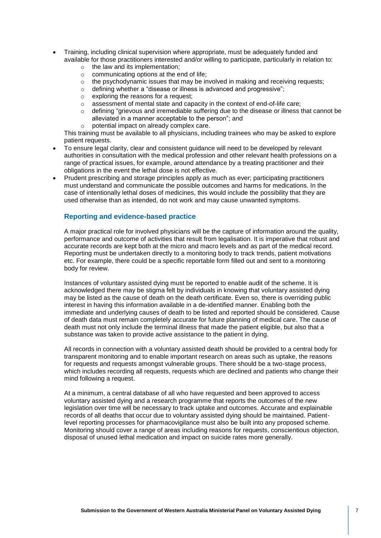- Training, including clinical supervision where appropriate, must be adequately funded and available for those practitioners interested and/or willing to participate, particularly in relation to:
	- $\circ$  the law and its implementation:
	- $\circ$  communicating options at the end of life:
	- $\circ$  the psychodynamic issues that may be involved in making and receiving requests;
	- o defining whether a "disease or illness is advanced and progressive";
	- $\circ$  exploring the reasons for a request:
	- o assessment of mental state and capacity in the context of end-of-life care;
	- $\circ$  defining "grievous and irremediable suffering due to the disease or illness that cannot be alleviated in a manner acceptable to the person"; and
	- o potential impact on already complex care.

This training must be available to all physicians, including trainees who may be asked to explore patient requests.

- To ensure legal clarity, clear and consistent guidance will need to be developed by relevant authorities in consultation with the medical profession and other relevant health professions on a range of practical issues, for example, around attendance by a treating practitioner and their obligations in the event the lethal dose is not effective.
- Prudent prescribing and storage principles apply as much as ever; participating practitioners must understand and communicate the possible outcomes and harms for medications. In the case of intentionally lethal doses of medicines, this would include the possibility that they are used otherwise than as intended, do not work and may cause unwanted symptoms.

#### **Reporting and evidence-based practice**

A major practical role for involved physicians will be the capture of information around the quality, performance and outcome of activities that result from legalisation. It is imperative that robust and accurate records are kept both at the micro and macro levels and as part of the medical record. Reporting must be undertaken directly to a monitoring body to track trends, patient motivations etc. For example, there could be a specific reportable form filled out and sent to a monitoring body for review.

Instances of voluntary assisted dying must be reported to enable audit of the scheme. It is acknowledged there may be stigma felt by individuals in knowing that voluntary assisted dying may be listed as the cause of death on the death certificate. Even so, there is overriding public interest in having this information available in a de-identified manner. Enabling both the immediate and underlying causes of death to be listed and reported should be considered. Cause of death data must remain completely accurate for future planning of medical care. The cause of death must not only include the terminal illness that made the patient eligible, but also that a substance was taken to provide active assistance to the patient in dying.

All records in connection with a voluntary assisted death should be provided to a central body for transparent monitoring and to enable important research on areas such as uptake, the reasons for requests and requests amongst vulnerable groups. There should be a two-stage process, which includes recording all requests, requests which are declined and patients who change their mind following a request.

At a minimum, a central database of all who have requested and been approved to access voluntary assisted dying and a research programme that reports the outcomes of the new legislation over time will be necessary to track uptake and outcomes. Accurate and explainable records of all deaths that occur due to voluntary assisted dying should be maintained. Patientlevel reporting processes for pharmacovigilance must also be built into any proposed scheme. Monitoring should cover a range of areas including reasons for requests, conscientious objection, disposal of unused lethal medication and impact on suicide rates more generally.